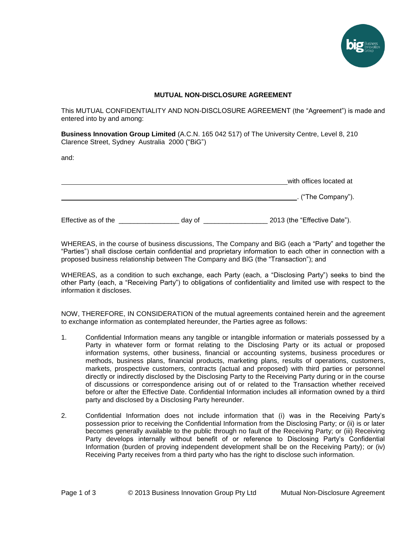

## **MUTUAL NON-DISCLOSURE AGREEMENT**

This MUTUAL CONFIDENTIALITY AND NON-DISCLOSURE AGREEMENT (the "Agreement") is made and entered into by and among:

**Business Innovation Group Limited** (A.C.N. 165 042 517) of The University Centre, Level 8, 210 Clarence Street, Sydney Australia 2000 ("BiG")

and:

|                     |        | with offices located at      |
|---------------------|--------|------------------------------|
|                     |        | . ("The Company").           |
| Effective as of the | day of | 2013 (the "Effective Date"). |

WHEREAS, in the course of business discussions, The Company and BiG (each a "Party" and together the "Parties") shall disclose certain confidential and proprietary information to each other in connection with a proposed business relationship between The Company and BiG (the "Transaction"); and

WHEREAS, as a condition to such exchange, each Party (each, a "Disclosing Party") seeks to bind the other Party (each, a "Receiving Party") to obligations of confidentiality and limited use with respect to the information it discloses.

NOW, THEREFORE, IN CONSIDERATION of the mutual agreements contained herein and the agreement to exchange information as contemplated hereunder, the Parties agree as follows:

- 1. Confidential Information means any tangible or intangible information or materials possessed by a Party in whatever form or format relating to the Disclosing Party or its actual or proposed information systems, other business, financial or accounting systems, business procedures or methods, business plans, financial products, marketing plans, results of operations, customers, markets, prospective customers, contracts (actual and proposed) with third parties or personnel directly or indirectly disclosed by the Disclosing Party to the Receiving Party during or in the course of discussions or correspondence arising out of or related to the Transaction whether received before or after the Effective Date. Confidential Information includes all information owned by a third party and disclosed by a Disclosing Party hereunder.
- 2. Confidential Information does not include information that (i) was in the Receiving Party's possession prior to receiving the Confidential Information from the Disclosing Party; or (ii) is or later becomes generally available to the public through no fault of the Receiving Party; or (iii) Receiving Party develops internally without benefit of or reference to Disclosing Party's Confidential Information (burden of proving independent development shall be on the Receiving Party); or (iv) Receiving Party receives from a third party who has the right to disclose such information.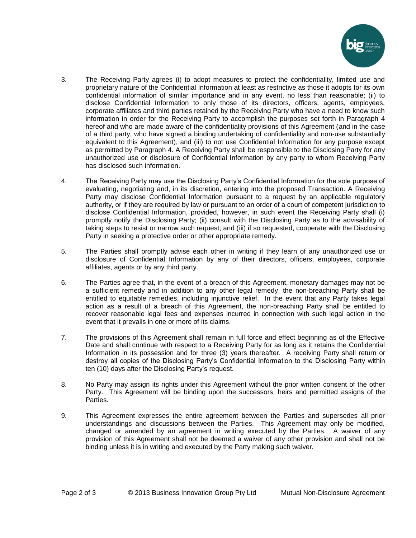

- 3. The Receiving Party agrees (i) to adopt measures to protect the confidentiality, limited use and proprietary nature of the Confidential Information at least as restrictive as those it adopts for its own confidential information of similar importance and in any event, no less than reasonable; (ii) to disclose Confidential Information to only those of its directors, officers, agents, employees, corporate affiliates and third parties retained by the Receiving Party who have a need to know such information in order for the Receiving Party to accomplish the purposes set forth in Paragraph 4 hereof and who are made aware of the confidentiality provisions of this Agreement (and in the case of a third party, who have signed a binding undertaking of confidentiality and non-use substantially equivalent to this Agreement), and (iii) to not use Confidential Information for any purpose except as permitted by Paragraph 4. A Receiving Party shall be responsible to the Disclosing Party for any unauthorized use or disclosure of Confidential Information by any party to whom Receiving Party has disclosed such information.
- 4. The Receiving Party may use the Disclosing Party's Confidential Information for the sole purpose of evaluating, negotiating and, in its discretion, entering into the proposed Transaction. A Receiving Party may disclose Confidential Information pursuant to a request by an applicable regulatory authority, or if they are required by law or pursuant to an order of a court of competent jurisdiction to disclose Confidential Information, provided, however, in such event the Receiving Party shall (i) promptly notify the Disclosing Party; (ii) consult with the Disclosing Party as to the advisability of taking steps to resist or narrow such request; and (iii) if so requested, cooperate with the Disclosing Party in seeking a protective order or other appropriate remedy.
- 5. The Parties shall promptly advise each other in writing if they learn of any unauthorized use or disclosure of Confidential Information by any of their directors, officers, employees, corporate affiliates, agents or by any third party.
- 6. The Parties agree that, in the event of a breach of this Agreement, monetary damages may not be a sufficient remedy and in addition to any other legal remedy, the non-breaching Party shall be entitled to equitable remedies, including injunctive relief. In the event that any Party takes legal action as a result of a breach of this Agreement, the non-breaching Party shall be entitled to recover reasonable legal fees and expenses incurred in connection with such legal action in the event that it prevails in one or more of its claims.
- 7. The provisions of this Agreement shall remain in full force and effect beginning as of the Effective Date and shall continue with respect to a Receiving Party for as long as it retains the Confidential Information in its possession and for three (3) years thereafter. A receiving Party shall return or destroy all copies of the Disclosing Party's Confidential Information to the Disclosing Party within ten (10) days after the Disclosing Party's request.
- 8. No Party may assign its rights under this Agreement without the prior written consent of the other Party. This Agreement will be binding upon the successors, heirs and permitted assigns of the Parties.
- 9. This Agreement expresses the entire agreement between the Parties and supersedes all prior understandings and discussions between the Parties. This Agreement may only be modified, changed or amended by an agreement in writing executed by the Parties. A waiver of any provision of this Agreement shall not be deemed a waiver of any other provision and shall not be binding unless it is in writing and executed by the Party making such waiver.